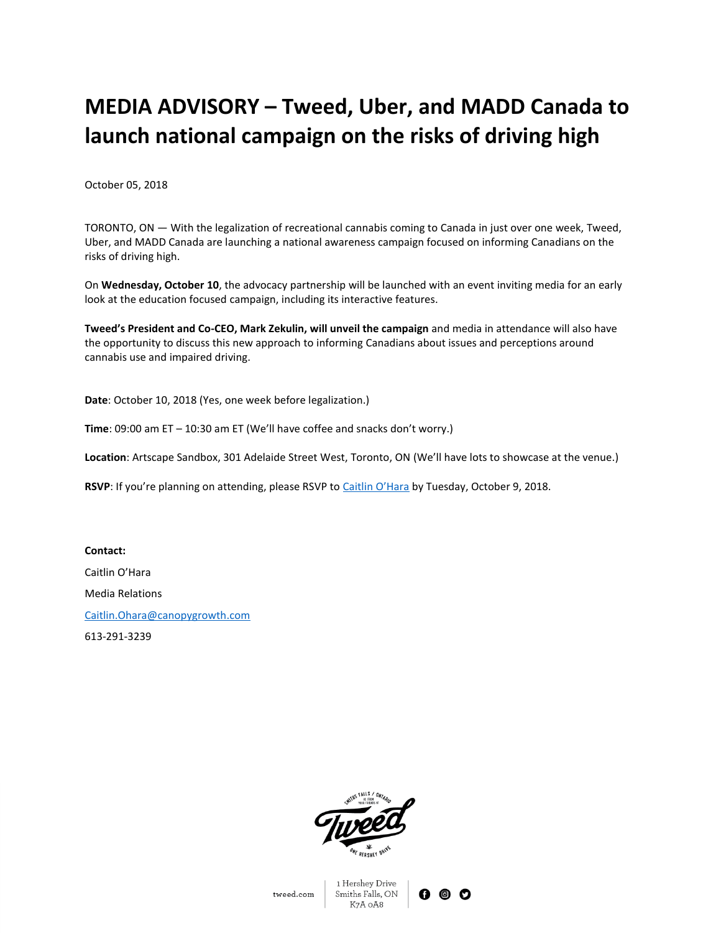## **MEDIA ADVISORY – Tweed, Uber, and MADD Canada to launch national campaign on the risks of driving high**

October 05, 2018

TORONTO, ON — With the legalization of recreational cannabis coming to Canada in just over one week, Tweed, Uber, and MADD Canada are launching a national awareness campaign focused on informing Canadians on the risks of driving high.

On **Wednesday, October 10**, the advocacy partnership will be launched with an event inviting media for an early look at the education focused campaign, including its interactive features.

**Tweed's President and Co-CEO, Mark Zekulin, will unveil the campaign** and media in attendance will also have the opportunity to discuss this new approach to informing Canadians about issues and perceptions around cannabis use and impaired driving.

**Date**: October 10, 2018 (Yes, one week before legalization.)

**Time**: 09:00 am ET – 10:30 am ET (We'll have coffee and snacks don't worry.)

**Location**: Artscape Sandbox, 301 Adelaide Street West, Toronto, ON (We'll have lots to showcase at the venue.)

RSVP: If you're planning on attending, please RSVP to [Caitlin O'Hara](http://caitlin.ohara@canopygrowth.com) by Tuesday, October 9, 2018.

**Contact:** Caitlin O'Hara Media Relations [Caitlin.Ohara@canopygrowth.com](mailto:Caitlin.ohara@canopygrowth.com) 613-291-3239